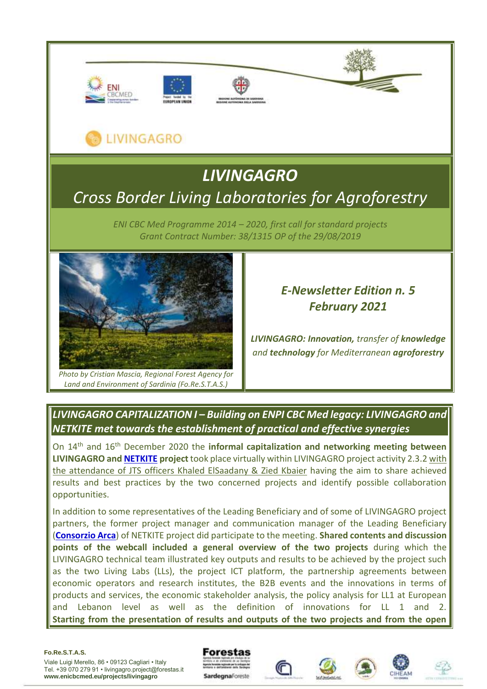

## LIVINGAGRO

# *LIVINGAGRO Cross Border Living Laboratories for Agroforestry*

*ENI CBC Med Programme 2014 – 2020, first call for standard projects Grant Contract Number: 38/1315 OP of the 29/08/2019*



*Photo by Cristian Mascia, Regional Forest Agency for Land and Environment of Sardinia (Fo.Re.S.T.A.S.)*

### *E-Newsletter Edition n. 5 February 2021*

*LIVINGAGRO: Innovation, transfer of knowledge and technology for Mediterranean agroforestry*

*LIVINGAGRO CAPITALIZATION I – Building on ENPI CBC Med legacy: LIVINGAGRO and NETKITE met towards the establishment of practical and effective synergies*

On 14th and 16th December 2020 the **informal capitalization and networking meeting between LIVINGAGRO an[d NETKITE](http://www.netkite.eu/) project** took place virtually within LIVINGAGRO project activity 2.3.2 with the attendance of JTS officers Khaled ElSaadany & Zied Kbaier having the aim to share achieved results and best practices by the two concerned projects and identify possible collaboration opportunities.

In addition to some representatives of the Leading Beneficiary and of some of LIVINGAGRO project partners, the former project manager and communication manager of the Leading Beneficiary (**[Consorzio Arca](http://www.consorzioarca.it/index.php/it/)**) of NETKITE project did participate to the meeting. **Shared contents and discussion points of the webcall included a general overview of the two projects** during which the LIVINGAGRO technical team illustrated key outputs and results to be achieved by the project such as the two Living Labs (LLs), the project ICT platform, the partnership agreements between economic operators and research institutes, the B2B events and the innovations in terms of products and services, the economic stakeholder analysis, the policy analysis for LL1 at European and Lebanon level as well as the definition of innovations for LL 1 and 2. **Starting from the presentation of results and outputs of the two projects and from the open** 

#### **Fo.Re.S.T.A.S.**









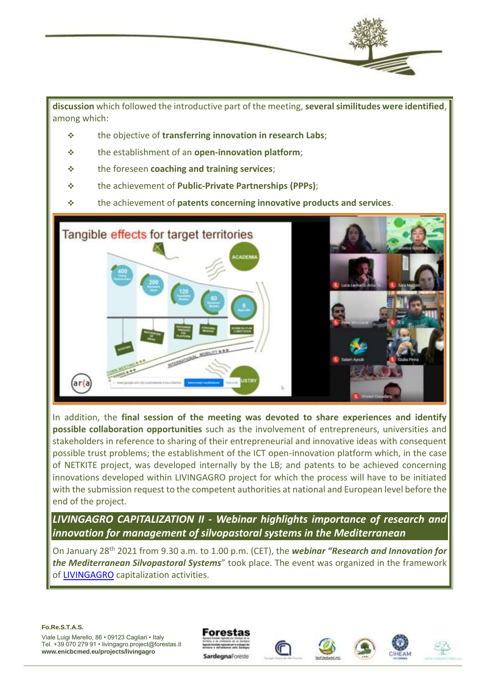

**discussion** which followed the introductive part of the meeting, **several similitudes were identified**, among which:

- ❖ the objective of **transferring innovation in research Labs**;
- ❖ the establishment of an **open-innovation platform**;
- ❖ the foreseen **coaching and training services**;
- ❖ the achievement of **Public-Private Partnerships (PPPs)**;
- ❖ the achievement of **patents concerning innovative products and services**.



In addition, the **final session of the meeting was devoted to share experiences and identify possible collaboration opportunities** such as the involvement of entrepreneurs, universities and stakeholders in reference to sharing of their entrepreneurial and innovative ideas with consequent possible trust problems; the establishment of the ICT open-innovation platform which, in the case of NETKITE project, was developed internally by the LB; and patents to be achieved concerning innovations developed within LIVINGAGRO project for which the process will have to be initiated with the submission request to the competent authorities at national and European level before the end of the project.

*LIVINGAGRO CAPITALIZATION II - Webinar highlights importance of research and innovation for management of silvopastoral systems in the Mediterranean*

On January 28th 2021 from 9.30 a.m. to 1.00 p.m. (CET), the *webinar "Research and Innovation for the Mediterranean Silvopastoral Systems*" took place. The event was organized in the framework of [LIVINGAGRO](http://www.enicbcmed.eu/www.enicbcmed.eu/projects/livingagro) capitalization activities.

#### **Fo.Re.S.T.A.S.**







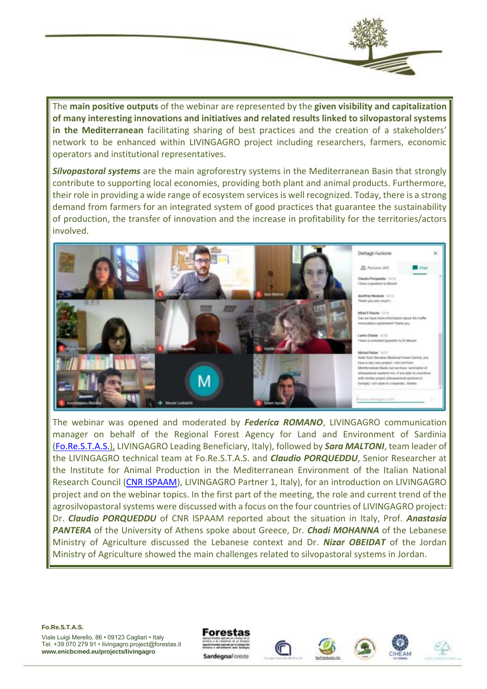The **main positive outputs** of the webinar are represented by the **given visibility and capitalization of many interesting innovations and initiatives and related results linked to silvopastoral systems in the Mediterranean** facilitating sharing of best practices and the creation of a stakeholders' network to be enhanced within LIVINGAGRO project including researchers, farmers, economic operators and institutional representatives.

*Silvopastoral systems* are the main agroforestry systems in the Mediterranean Basin that strongly contribute to supporting local economies, providing both plant and animal products. Furthermore, their role in providing a wide range of ecosystem services is well recognized. Today, there is a strong demand from farmers for an integrated system of good practices that guarantee the sustainability of production, the transfer of innovation and the increase in profitability for the territories/actors involved.



The webinar was opened and moderated by *Federica ROMANO*, LIVINGAGRO communication manager on behalf of the Regional Forest Agency for Land and Environment of Sardinia [\(Fo.Re.S.T.A.S.\),](https://www.sardegnaforeste.it/) LIVINGAGRO Leading Beneficiary, Italy), followed by *Sara MALTONI*, team leader of the LIVINGAGRO technical team at Fo.Re.S.T.A.S. and *Claudio PORQUEDDU*, Senior Researcher at the Institute for Animal Production in the Mediterranean Environment of the Italian National Research Council [\(CNR ISPAAM\)](https://www.ispaam.cnr.it/), LIVINGAGRO Partner 1, Italy), for an introduction on LIVINGAGRO project and on the webinar topics. In the first part of the meeting, the role and current trend of the agrosilvopastoral systems were discussed with a focus on the four countries of LIVINGAGRO project: Dr. *Claudio PORQUEDDU* of CNR ISPAAM reported about the situation in Italy, Prof. *Anastasia PANTERA* of the University of Athens spoke about Greece, Dr. *Chadi MOHANNA* of the Lebanese Ministry of Agriculture discussed the Lebanese context and Dr. *Nizar OBEIDAT* of the Jordan Ministry of Agriculture showed the main challenges related to silvopastoral systems in Jordan.

**Fo.Re.S.T.A.S.**







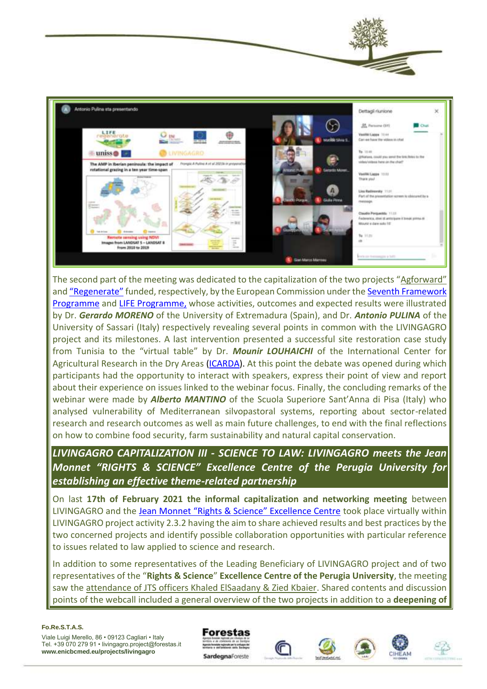

The second part of the meeting was dedicated to the capitalization of the two projects ["Agforward"](https://www.agforward.eu/index.php/it/) and ["Regenerate"](https://regenerate.eu/it/) funded, respectively, by the European Commission under th[e Seventh Framework](https://www.google.com/url?sa=t&rct=j&q=&esrc=s&source=web&cd=&cad=rja&uact=8&ved=2ahUKEwjejtDl1tzuAhVStqQKHZB8BGwQFjAAegQIBRAC&url=https%3A%2F%2Fec.europa.eu%2Fresearch%2Ffp7%2F&usg=AOvVaw1jjbHrstqddqmzPXY31eGz)  [Programme](https://www.google.com/url?sa=t&rct=j&q=&esrc=s&source=web&cd=&cad=rja&uact=8&ved=2ahUKEwjejtDl1tzuAhVStqQKHZB8BGwQFjAAegQIBRAC&url=https%3A%2F%2Fec.europa.eu%2Fresearch%2Ffp7%2F&usg=AOvVaw1jjbHrstqddqmzPXY31eGz) and [LIFE Programme,](https://www.google.com/url?sa=t&rct=j&q=&esrc=s&source=web&cd=&cad=rja&uact=8&ved=2ahUKEwi8oI--1tzuAhVP3KQKHW5-CVoQFjAHegQIAxAC&url=https%3A%2F%2Fec.europa.eu%2Fenvironment%2Farchives%2Flife%2Findex.htm&usg=AOvVaw2lZ6ReTcUQWNNUawb9DDBg) whose activities, outcomes and expected results were illustrated by Dr. *Gerardo MORENO* of the University of Extremadura (Spain), and Dr. *Antonio PULINA* of the University of Sassari (Italy) respectively revealing several points in common with the LIVINGAGRO project and its milestones. A last intervention presented a successful site restoration case study from Tunisia to the "virtual table" by Dr. *Mounir LOUHAICHI* of the International Center for Agricultural Research in the Dry Areas [\(ICARDA\)](https://www.icarda.org/). At this point the debate was opened during which participants had the opportunity to interact with speakers, express their point of view and report about their experience on issues linked to the webinar focus. Finally, the concluding remarks of the webinar were made by *Alberto MANTINO* of the Scuola Superiore Sant'Anna di Pisa (Italy) who analysed vulnerability of Mediterranean silvopastoral systems, reporting about sector-related research and research outcomes as well as main future challenges, to end with the final reflections on how to combine food security, farm sustainability and natural capital conservation.

*LIVINGAGRO CAPITALIZATION III - SCIENCE TO LAW: LIVINGAGRO meets the Jean Monnet "RIGHTS & SCIENCE" Excellence Centre of the Perugia University for establishing an effective theme-related partnership*

On last **17th of February 2021 the informal capitalization and networking meeting** between LIVINGAGRO and the [Jean Monnet "Rights & Science" Excellence Centre](http://www.cirps.it/sez-scienza-diritto/) took place virtually within LIVINGAGRO project activity 2.3.2 having the aim to share achieved results and best practices by the two concerned projects and identify possible collaboration opportunities with particular reference to issues related to law applied to science and research.

In addition to some representatives of the Leading Beneficiary of LIVINGAGRO project and of two representatives of the "**Rights & Science**" **Excellence Centre of the Perugia University**, the meeting saw the attendance of JTS officers Khaled ElSaadany & Zied Kbaier. Shared contents and discussion points of the webcall included a general overview of the two projects in addition to a **deepening of** 

#### **Fo.Re.S.T.A.S.**









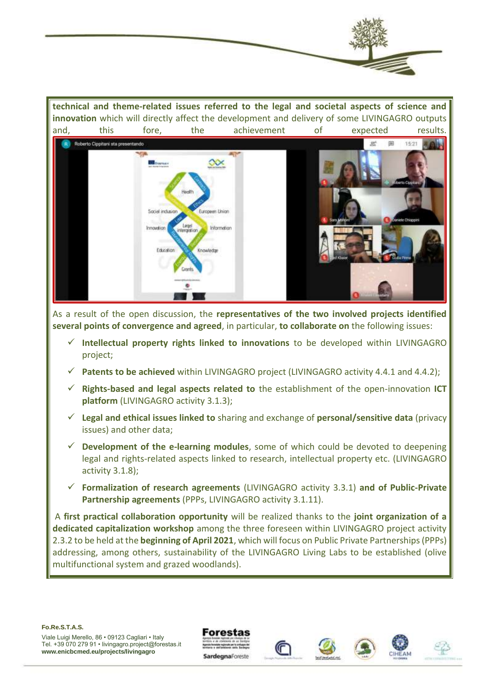

**technical and theme-related issues referred to the legal and societal aspects of science and innovation** which will directly affect the development and delivery of some LIVINGAGRO outputs and, this fore, the achievement of expected results.



As a result of the open discussion, the **representatives of the two involved projects identified several points of convergence and agreed**, in particular, **to collaborate on** the following issues:

- ✓ **Intellectual property rights linked to innovations** to be developed within LIVINGAGRO project;
- ✓ **Patents to be achieved** within LIVINGAGRO project (LIVINGAGRO activity 4.4.1 and 4.4.2);
- ✓ **Rights-based and legal aspects related to** the establishment of the open-innovation **ICT platform** (LIVINGAGRO activity 3.1.3);
- ✓ **Legal and ethical issues linked to** sharing and exchange of **personal/sensitive data** (privacy issues) and other data;
- $\checkmark$  **Development of the e-learning modules**, some of which could be devoted to deepening legal and rights-related aspects linked to research, intellectual property etc. (LIVINGAGRO activity 3.1.8);
- ✓ **Formalization of research agreements** (LIVINGAGRO activity 3.3.1) **and of Public-Private Partnership agreements** (PPPs, LIVINGAGRO activity 3.1.11).

A **first practical collaboration opportunity** will be realized thanks to the **joint organization of a dedicated capitalization workshop** among the three foreseen within LIVINGAGRO project activity 2.3.2 to be held at the **beginning of April 2021**, which will focus on Public Private Partnerships (PPPs) addressing, among others, sustainability of the LIVINGAGRO Living Labs to be established (olive multifunctional system and grazed woodlands).

#### **Fo.Re.S.T.A.S.**







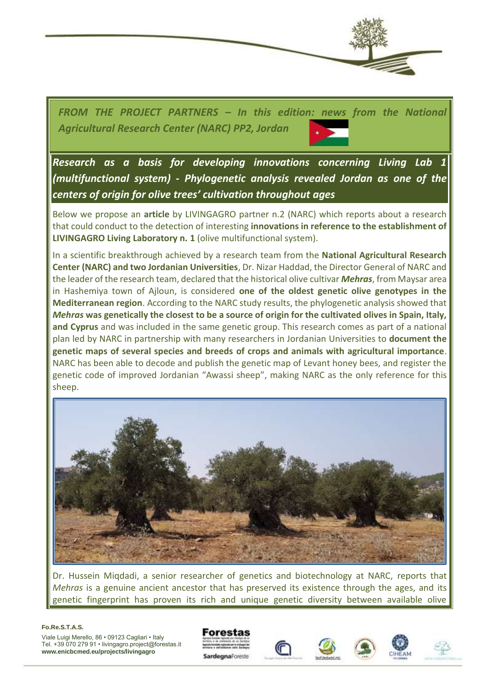

*FROM THE PROJECT PARTNERS – In this edition: news from the National Agricultural Research Center (NARC) PP2, Jordan*

*Research as a basis for developing innovations concerning Living Lab 1 (multifunctional system) - Phylogenetic analysis revealed Jordan as one of the centers of origin for olive trees' cultivation throughout ages*

Below we propose an **article** by LIVINGAGRO partner n.2 (NARC) which reports about a research that could conduct to the detection of interesting **innovations in reference to the establishment of LIVINGAGRO Living Laboratory n. 1** (olive multifunctional system).

In a scientific breakthrough achieved by a research team from the **National Agricultural Research Center (NARC) and two Jordanian Universities**, Dr. Nizar Haddad, the Director General of NARC and the leader of the research team, declared that the historical olive cultivar *Mehras*, from Maysar area in Hashemiya town of Ajloun, is considered **one of the oldest genetic olive genotypes in the Mediterranean region**. According to the NARC study results, the phylogenetic analysis showed that *Mehras* **was genetically the closest to be a source of origin for the cultivated olives in Spain, Italy, and Cyprus** and was included in the same genetic group. This research comes as part of a national plan led by NARC in partnership with many researchers in Jordanian Universities to **document the genetic maps of several species and breeds of crops and animals with agricultural importance**. NARC has been able to decode and publish the genetic map of Levant honey bees, and register the genetic code of improved Jordanian "Awassi sheep", making NARC as the only reference for this sheep.



Dr. Hussein Miqdadi, a senior researcher of genetics and biotechnology at NARC, reports that *Mehras* is a genuine ancient ancestor that has preserved its existence through the ages, and its genetic fingerprint has proven its rich and unique genetic diversity between available olive

#### **Fo.Re.S.T.A.S.**







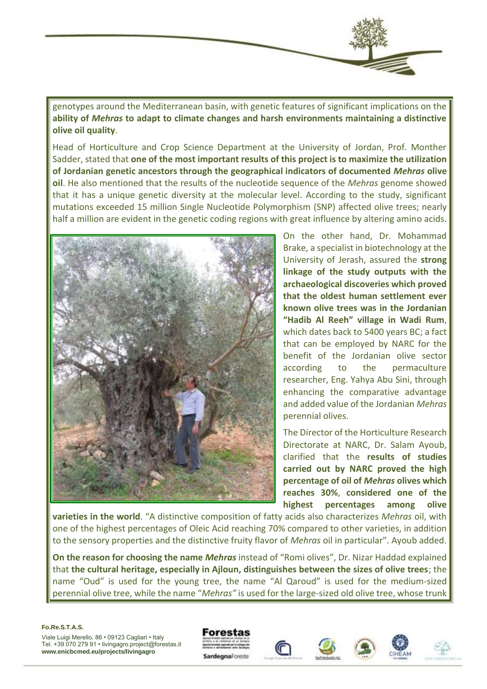

genotypes around the Mediterranean basin, with genetic features of significant implications on the **ability of** *Mehras* **to adapt to climate changes and harsh environments maintaining a distinctive olive oil quality**.

Head of Horticulture and Crop Science Department at the University of Jordan, Prof. Monther Sadder, stated that **one of the most important results of this project is to maximize the utilization of Jordanian genetic ancestors through the geographical indicators of documented** *Mehras* **olive oil**. He also mentioned that the results of the nucleotide sequence of the *Mehras* genome showed that it has a unique genetic diversity at the molecular level. According to the study, significant mutations exceeded 15 million Single Nucleotide Polymorphism (SNP) affected olive trees; nearly half a million are evident in the genetic coding regions with great influence by altering amino acids.



On the other hand, Dr. Mohammad Brake, a specialist in biotechnology at the University of Jerash, assured the **strong linkage of the study outputs with the archaeological discoveries which proved that the oldest human settlement ever known olive trees was in the Jordanian "Hadib Al Reeh" village in Wadi Rum**, which dates back to 5400 years BC; a fact that can be employed by NARC for the benefit of the Jordanian olive sector according to the permaculture researcher, Eng. Yahya Abu Sini, through enhancing the comparative advantage and added value of the Jordanian *Mehras* perennial olives.

The Director of the Horticulture Research Directorate at NARC, Dr. Salam Ayoub, clarified that the **results of studies carried out by NARC proved the high percentage of oil of** *Mehras* **olives which reaches 30%**, **considered one of the highest percentages among olive** 

**varieties in the world**. "A distinctive composition of fatty acids also characterizes *Mehras* oil, with one of the highest percentages of Oleic Acid reaching 70% compared to other varieties, in addition to the sensory properties and the distinctive fruity flavor of *Mehras* oil in particular". Ayoub added.

**On the reason for choosing the name** *Mehras* instead of "Romi olives", Dr. Nizar Haddad explained that **the cultural heritage, especially in Ajloun, distinguishes between the sizes of olive trees**; the name "Oud" is used for the young tree, the name "Al Qaroud" is used for the medium-sized perennial olive tree, while the name "*Mehras"* is used for the large-sized old olive tree, whose trunk

#### **Fo.Re.S.T.A.S.**







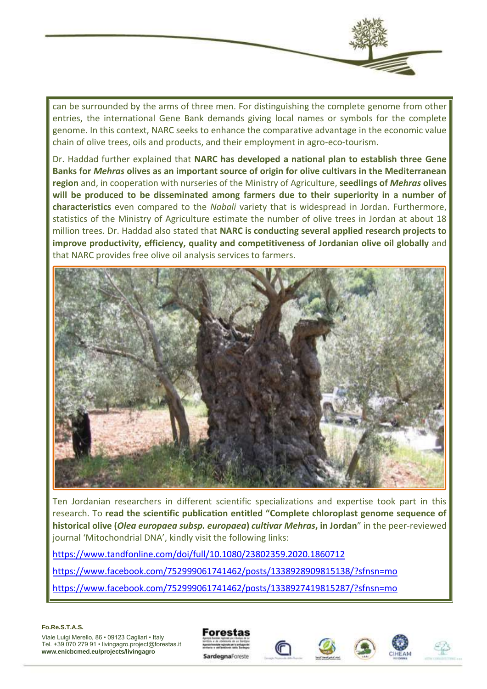

can be surrounded by the arms of three men. For distinguishing the complete genome from other entries, the international Gene Bank demands giving local names or symbols for the complete genome. In this context, NARC seeks to enhance the comparative advantage in the economic value chain of olive trees, oils and products, and their employment in agro-eco-tourism.

Dr. Haddad further explained that **NARC has developed a national plan to establish three Gene Banks for** *Mehras* **olives as an important source of origin for olive cultivars in the Mediterranean region** and, in cooperation with nurseries of the Ministry of Agriculture, **seedlings of** *Mehras* **olives will be produced to be disseminated among farmers due to their superiority in a number of characteristics** even compared to the *Nabali* variety that is widespread in Jordan. Furthermore, statistics of the Ministry of Agriculture estimate the number of olive trees in Jordan at about 18 million trees. Dr. Haddad also stated that **NARC is conducting several applied research projects to improve productivity, efficiency, quality and competitiveness of Jordanian olive oil globally** and that NARC provides free olive oil analysis services to farmers.



Ten Jordanian researchers in different scientific specializations and expertise took part in this research. To **read the scientific publication entitled "Complete chloroplast genome sequence of historical olive (***Olea europaea subsp. europaea***)** *cultivar Mehras***, in Jordan**" in the peer-reviewed journal 'Mitochondrial DNA', kindly visit the following links:

<https://www.tandfonline.com/doi/full/10.1080/23802359.2020.1860712>

<https://www.facebook.com/752999061741462/posts/1338928909815138/?sfnsn=mo>

<https://www.facebook.com/752999061741462/posts/1338927419815287/?sfnsn=mo>

**Fo.Re.S.T.A.S.**